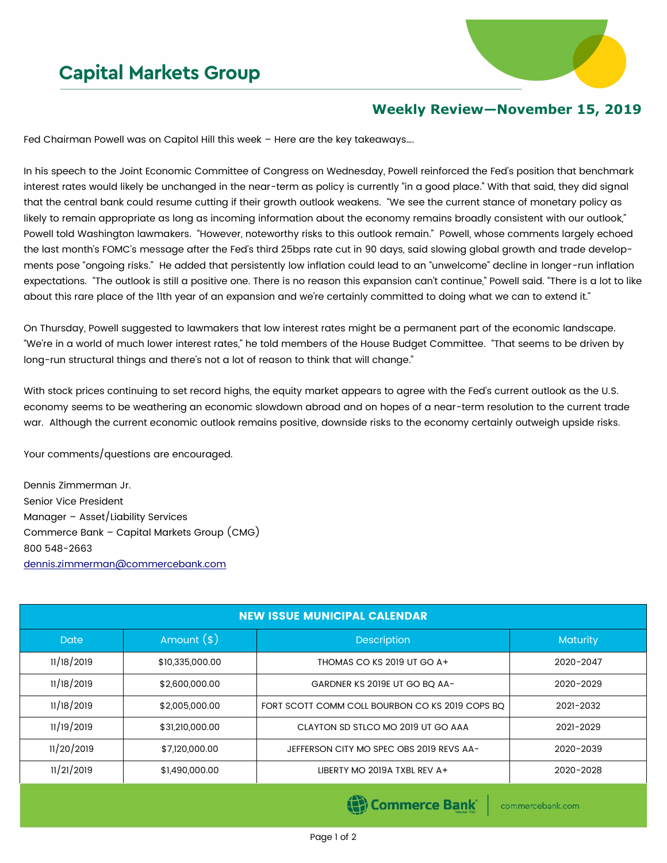## **Capital Markets Group**



## **Weekly Review—November 15, 2019**

Fed Chairman Powell was on Capitol Hill this week – Here are the key takeaways….

In his speech to the Joint Economic Committee of Congress on Wednesday, Powell reinforced the Fed's position that benchmark interest rates would likely be unchanged in the near-term as policy is currently "in a good place." With that said, they did signal that the central bank could resume cutting if their growth outlook weakens. "We see the current stance of monetary policy as likely to remain appropriate as long as incoming information about the economy remains broadly consistent with our outlook," Powell told Washington lawmakers. "However, noteworthy risks to this outlook remain." Powell, whose comments largely echoed the last month's FOMC's message after the Fed's third 25bps rate cut in 90 days, said slowing global growth and trade developments pose "ongoing risks." He added that persistently low inflation could lead to an "unwelcome" decline in longer-run inflation expectations. "The outlook is still a positive one. There is no reason this expansion can't continue," Powell said. "There is a lot to like about this rare place of the 11th year of an expansion and we're certainly committed to doing what we can to extend it."

On Thursday, Powell suggested to lawmakers that low interest rates might be a permanent part of the economic landscape. "We're in a world of much lower interest rates," he told members of the House Budget Committee. "That seems to be driven by long-run structural things and there's not a lot of reason to think that will change."

With stock prices continuing to set record highs, the equity market appears to agree with the Fed's current outlook as the U.S. economy seems to be weathering an economic slowdown abroad and on hopes of a near-term resolution to the current trade war. Although the current economic outlook remains positive, downside risks to the economy certainly outweigh upside risks.

Your comments/questions are encouraged.

Dennis Zimmerman Jr. Senior Vice President Manager – Asset/Liability Services Commerce Bank – Capital Markets Group (CMG) 800 548-2663 [dennis.zimmerman@commercebank.com](mailto:Dennis.Zimmerman@commercebank.com)

| <b>NEW ISSUE MUNICIPAL CALENDAR</b> |                 |                                                 |                 |  |  |
|-------------------------------------|-----------------|-------------------------------------------------|-----------------|--|--|
| <b>Date</b>                         | Amount $(*)$    | <b>Description</b>                              | <b>Maturity</b> |  |  |
| 11/18/2019                          | \$10,335,000.00 | THOMAS CO KS 2019 UT GO A+                      | 2020-2047       |  |  |
| 11/18/2019                          | \$2,600,000.00  | GARDNER KS 2019E UT GO BO AA-                   | 2020-2029       |  |  |
| 11/18/2019                          | \$2,005,000.00  | FORT SCOTT COMM COLL BOURBON CO KS 2019 COPS BQ | 2021-2032       |  |  |
| 11/19/2019                          | \$31,210,000.00 | CLAYTON SD STLCO MO 2019 UT GO AAA              | 2021-2029       |  |  |
| 11/20/2019                          | \$7,120,000.00  | JEFFERSON CITY MO SPEC OBS 2019 REVS AA-        | 2020-2039       |  |  |
| 11/21/2019                          | \$1,490,000.00  | LIBERTY MO 2019A TXBL REV A+                    | 2020-2028       |  |  |
|                                     |                 |                                                 |                 |  |  |

(B) Commerce Bank

commercebank.com